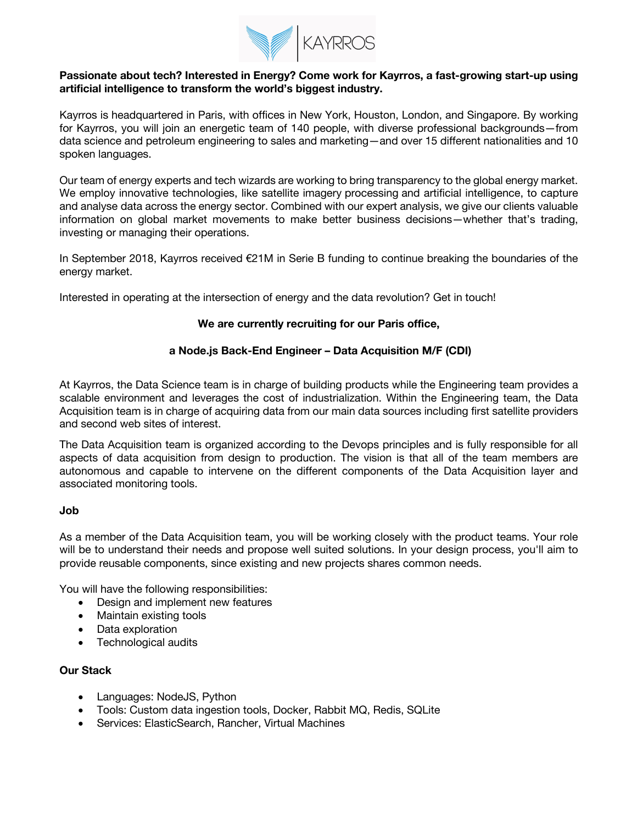

## **Passionate about tech? Interested in Energy? Come work for Kayrros, a fast-growing start-up using artificial intelligence to transform the world's biggest industry.**

Kayrros is headquartered in Paris, with offices in New York, Houston, London, and Singapore. By working for Kayrros, you will join an energetic team of 140 people, with diverse professional backgrounds—from data science and petroleum engineering to sales and marketing—and over 15 different nationalities and 10 spoken languages.

Our team of energy experts and tech wizards are working to bring transparency to the global energy market. We employ innovative technologies, like satellite imagery processing and artificial intelligence, to capture and analyse data across the energy sector. Combined with our expert analysis, we give our clients valuable information on global market movements to make better business decisions—whether that's trading, investing or managing their operations.

In September 2018, Kayrros received €21M in Serie B funding to continue breaking the boundaries of the energy market.

Interested in operating at the intersection of energy and the data revolution? Get in touch!

# **We are currently recruiting for our Paris office,**

# **a Node.js Back-End Engineer – Data Acquisition M/F (CDI)**

At Kayrros, the Data Science team is in charge of building products while the Engineering team provides a scalable environment and leverages the cost of industrialization. Within the Engineering team, the Data Acquisition team is in charge of acquiring data from our main data sources including first satellite providers and second web sites of interest.

The Data Acquisition team is organized according to the Devops principles and is fully responsible for all aspects of data acquisition from design to production. The vision is that all of the team members are autonomous and capable to intervene on the different components of the Data Acquisition layer and associated monitoring tools.

#### **Job**

As a member of the Data Acquisition team, you will be working closely with the product teams. Your role will be to understand their needs and propose well suited solutions. In your design process, you'll aim to provide reusable components, since existing and new projects shares common needs.

You will have the following responsibilities:

- Design and implement new features
- Maintain existing tools
- Data exploration
- Technological audits

## **Our Stack**

- Languages: NodeJS, Python
- Tools: Custom data ingestion tools, Docker, Rabbit MQ, Redis, SQLite
- Services: ElasticSearch, Rancher, Virtual Machines